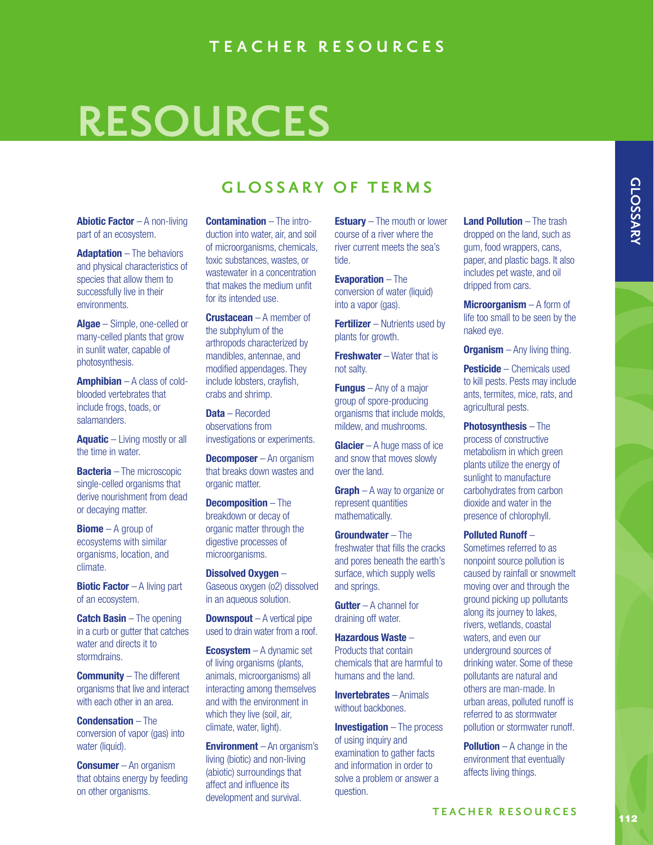## **RESOURCES**

## **GLOSSARY OF TERMS**

**Abiotic Factor** – A non-living part of an ecosystem.

**Adaptation** – The behaviors and physical characteristics of species that allow them to successfully live in their environments.

**Algae** – Simple, one-celled or many-celled plants that grow in sunlit water, capable of photosynthesis.

**Amphibian** – A class of coldblooded vertebrates that include frogs, toads, or salamanders.

**Aquatic** – Living mostly or all the time in water.

**Bacteria** – The microscopic single-celled organisms that derive nourishment from dead or decaying matter.

**Biome** – A group of ecosystems with similar organisms, location, and climate.

**Biotic Factor** – A living part of an ecosystem.

**Catch Basin** – The opening in a curb or gutter that catches water and directs it to stormdrains.

**Community** – The different organisms that live and interact with each other in an area.

**Condensation** – The conversion of vapor (gas) into water (liquid).

**Consumer** – An organism that obtains energy by feeding on other organisms.

**Contamination** – The introduction into water, air, and soil of microorganisms, chemicals, toxic substances, wastes, or wastewater in a concentration that makes the medium unfit for its intended use.

**Crustacean** – A member of the subphylum of the arthropods characterized by mandibles, antennae, and modified appendages. They include lobsters, crayfish, crabs and shrimp.

**Data** – Recorded observations from investigations or experiments.

**Decomposer** – An organism that breaks down wastes and organic matter.

**Decomposition** – The breakdown or decay of organic matter through the digestive processes of microorganisms.

**Dissolved Oxygen** – Gaseous oxygen (o2) dissolved in an aqueous solution.

**Downspout** – A vertical pipe used to drain water from a roof.

**Ecosystem** – A dynamic set of living organisms (plants, animals, microorganisms) all interacting among themselves and with the environment in which they live (soil, air, climate, water, light).

**Environment** – An organism's living (biotic) and non-living (abiotic) surroundings that affect and influence its development and survival.

**Estuary** – The mouth or lower course of a river where the river current meets the sea's tide.

**Evaporation** – The conversion of water (liquid) into a vapor (gas).

**Fertilizer** – Nutrients used by plants for growth.

**Freshwater** – Water that is not salty.

**Fungus** – Any of a major group of spore-producing organisms that include molds, mildew, and mushrooms.

**Glacier** – A huge mass of ice and snow that moves slowly over the land.

**Graph** – A way to organize or represent quantities mathematically.

**Groundwater** – The freshwater that fills the cracks and pores beneath the earth's surface, which supply wells and springs.

**Gutter** – A channel for draining off water.

**Hazardous Waste** – Products that contain chemicals that are harmful to humans and the land.

**Invertebrates** – Animals without backbones.

**Investigation** – The process of using inquiry and examination to gather facts and information in order to solve a problem or answer a question.

**Land Pollution** – The trash dropped on the land, such as gum, food wrappers, cans, paper, and plastic bags. It also includes pet waste, and oil dripped from cars.

**Microorganism** – A form of life too small to be seen by the naked eye.

**Organism** – Any living thing.

**Pesticide** – Chemicals used to kill pests. Pests may include ants, termites, mice, rats, and agricultural pests.

**Photosynthesis** – The process of constructive metabolism in which green plants utilize the energy of sunlight to manufacture carbohydrates from carbon dioxide and water in the presence of chlorophyll.

## **Polluted Runoff** –

Sometimes referred to as nonpoint source pollution is caused by rainfall or snowmelt moving over and through the ground picking up pollutants along its journey to lakes, rivers, wetlands, coastal waters, and even our underground sources of drinking water. Some of these pollutants are natural and others are man-made. In urban areas, polluted runoff is referred to as stormwater pollution or stormwater runoff.

**Pollution** – A change in the environment that eventually affects living things.